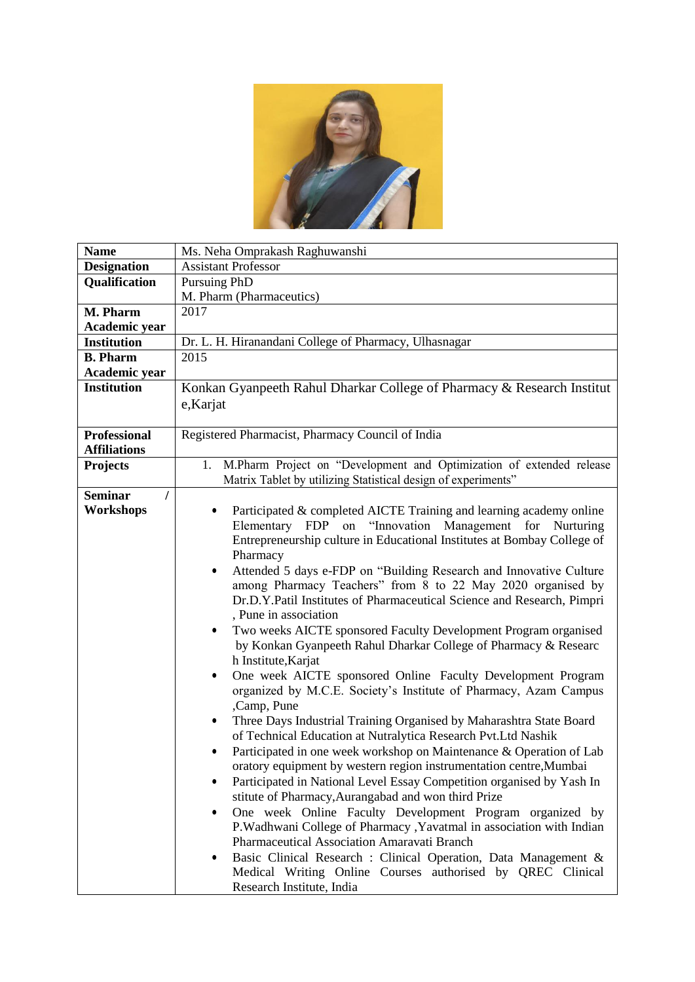

| <b>Name</b>         | Ms. Neha Omprakash Raghuwanshi                                                  |
|---------------------|---------------------------------------------------------------------------------|
| <b>Designation</b>  | <b>Assistant Professor</b>                                                      |
| Qualification       | <b>Pursuing PhD</b>                                                             |
|                     | M. Pharm (Pharmaceutics)                                                        |
| M. Pharm            | 2017                                                                            |
| Academic year       |                                                                                 |
| <b>Institution</b>  | Dr. L. H. Hiranandani College of Pharmacy, Ulhasnagar                           |
| <b>B.</b> Pharm     | 2015                                                                            |
| Academic year       |                                                                                 |
| <b>Institution</b>  | Konkan Gyanpeeth Rahul Dharkar College of Pharmacy & Research Institut          |
|                     | e,Karjat                                                                        |
|                     |                                                                                 |
| <b>Professional</b> | Registered Pharmacist, Pharmacy Council of India                                |
| <b>Affiliations</b> |                                                                                 |
| <b>Projects</b>     | 1. M.Pharm Project on "Development and Optimization of extended release         |
|                     | Matrix Tablet by utilizing Statistical design of experiments"                   |
| <b>Seminar</b>      |                                                                                 |
| Workshops           | Participated & completed AICTE Training and learning academy online             |
|                     | Elementary FDP on "Innovation Management for<br>Nurturing                       |
|                     | Entrepreneurship culture in Educational Institutes at Bombay College of         |
|                     | Pharmacy                                                                        |
|                     | Attended 5 days e-FDP on "Building Research and Innovative Culture<br>$\bullet$ |
|                     | among Pharmacy Teachers" from 8 to 22 May 2020 organised by                     |
|                     | Dr.D.Y.Patil Institutes of Pharmaceutical Science and Research, Pimpri          |
|                     | , Pune in association                                                           |
|                     | Two weeks AICTE sponsored Faculty Development Program organised<br>$\bullet$    |
|                     | by Konkan Gyanpeeth Rahul Dharkar College of Pharmacy & Researc                 |
|                     | h Institute, Karjat                                                             |
|                     | One week AICTE sponsored Online Faculty Development Program<br>$\bullet$        |
|                     | organized by M.C.E. Society's Institute of Pharmacy, Azam Campus                |
|                     | ,Camp, Pune                                                                     |
|                     | Three Days Industrial Training Organised by Maharashtra State Board<br>٠        |
|                     | of Technical Education at Nutralytica Research Pvt.Ltd Nashik                   |
|                     | Participated in one week workshop on Maintenance & Operation of Lab<br>٠        |
|                     | oratory equipment by western region instrumentation centre, Mumbai              |
|                     | Participated in National Level Essay Competition organised by Yash In           |
|                     | stitute of Pharmacy, Aurangabad and won third Prize                             |
|                     | One week Online Faculty Development Program organized by<br>$\bullet$           |
|                     | P.Wadhwani College of Pharmacy , Yavatmal in association with Indian            |
|                     | Pharmaceutical Association Amaravati Branch                                     |
|                     | Basic Clinical Research : Clinical Operation, Data Management &                 |
|                     | Medical Writing Online Courses authorised by QREC Clinical                      |
|                     | Research Institute, India                                                       |